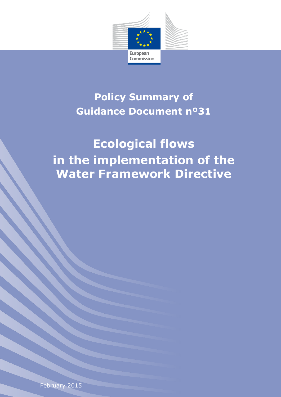

# **Policy Summary of Guidance Document nº31**

# **Ecological flows in the implementation of the Water Framework Directive**

February 2015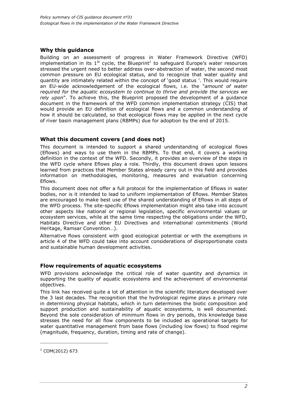# **Why this guidance**

Building on an assessment of progress in Water Framework Directive (WFD) implementation in its  $1<sup>st</sup>$  cycle, the Blueprint<sup>1</sup> to safeguard Europe's water resources stressed the urgent need to better address over-abstraction of water, the second most common pressure on EU ecological status, and to recognize that water quality and quantity are intimately related within the concept of 'good status '. This would require an EU-wide acknowledgement of the ecological flows, i.e. the "*amount of water required for the aquatic ecosystem to continue to thrive and provide the services we rely upon*". To achieve this, the Blueprint proposed the development of a guidance document in the framework of the WFD common implementation strategy (CIS) that would provide an EU definition of ecological flows and a common understanding of how it should be calculated, so that ecological flows may be applied in the next cycle of river basin management plans (RBMPs) due for adoption by the end of 2015.

## **What this document covers (and does not)**

This document is intended to support a shared understanding of ecological flows (Eflows) and ways to use them in the RBMPs. To that end, it covers a working definition in the context of the WFD. Secondly, it provides an overview of the steps in the WFD cycle where Eflows play a role. Thirdly, this document draws upon lessons learned from practices that Member States already carry out in this field and provides information on methodologies, monitoring, measures and evaluation concerning Eflows.

This document does not offer a full protocol for the implementation of Eflows in water bodies, nor is it intended to lead to uniform implementation of Eflows. Member States are encouraged to make best use of the shared understanding of Eflows in all steps of the WFD process. The site-specific Eflows implementation might also take into account other aspects like national or regional legislation, specific environmental values or ecosystem services, while at the same time respecting the obligations under the WFD, Habitats Directive and other EU Directives and international commitments (World Heritage, Ramsar Convention…).

Alternative flows consistent with good ecological potential or with the exemptions in article 4 of the WFD could take into account considerations of disproportionate costs and sustainable human development activities.

## **Flow requirements of aquatic ecosystems**

WFD provisions acknowledge the critical role of water quantity and dynamics in supporting the quality of aquatic ecosystems and the achievement of environmental objectives.

This link has received quite a lot of attention in the scientific literature developed over the 3 last decades. The recognition that the hydrological regime plays a primary role in determining physical habitats, which in turn determines the biotic composition and support production and sustainability of aquatic ecosystems, is well documented. Beyond the sole consideration of minimum flows in dry periods, this knowledge base stresses the need for all flow components to be included as operational targets for water quantitative management from base flows (including low flows) to flood regime (magnitude, frequency, duration, timing and rate of change).

-

 $1$  COM(2012) 673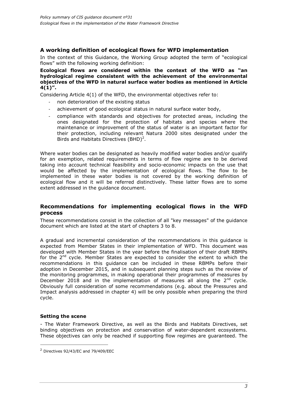# **A working definition of ecological flows for WFD implementation**

In the context of this Guidance, the Working Group adopted the term of "ecological flows" with the following working definition:

**Ecological flows are considered within the context of the WFD as "an hydrological regime consistent with the achievement of the environmental objectives of the WFD in natural surface water bodies as mentioned in Article 4(1)".** 

Considering Article 4(1) of the WFD, the environmental objectives refer to:

- non deterioration of the existing status
- achievement of good ecological status in natural surface water body,
- compliance with standards and objectives for protected areas, including the ones designated for the protection of habitats and species where the maintenance or improvement of the status of water is an important factor for their protection, including relevant Natura 2000 sites designated under the Birds and Habitats Directives  $(BHD)^2$ .

Where water bodies can be designated as heavily modified water bodies and/or qualify for an exemption, related requirements in terms of flow regime are to be derived taking into account technical feasibility and socio-economic impacts on the use that would be affected by the implementation of ecological flows. The flow to be implemented in these water bodies is not covered by the working definition of ecological flow and it will be referred distinctively. These latter flows are to some extent addressed in the guidance document.

#### **Recommendations for implementing ecological flows in the WFD process**

These recommendations consist in the collection of all "key messages" of the guidance document which are listed at the start of chapters 3 to 8.

A gradual and incremental consideration of the recommendations in this guidance is expected from Member States in their implementation of WFD. This document was developed with Member States in the year before the finalisation of their draft RBMPs for the  $2^{nd}$  cycle. Member States are expected to consider the extent to which the recommendations in this guidance can be included in these RBMPs before their adoption in December 2015, and in subsequent planning steps such as the review of the monitoring programmes, in making operational their programmes of measures by December 2018 and in the implementation of measures all along the  $2^{nd}$  cycle. Obviously full consideration of some recommendations (e.g. about the Pressures and Impact analysis addressed in chapter 4) will be only possible when preparing the third cycle.

#### **Setting the scene**

-

- The Water Framework Directive, as well as the Birds and Habitats Directives, set binding objectives on protection and conservation of water-dependent ecosystems. These objectives can only be reached if supporting flow regimes are guaranteed. The

 $2$  Directives 92/43/EC and 79/409/EEC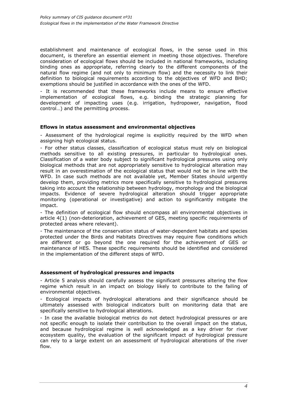establishment and maintenance of ecological flows, in the sense used in this document, is therefore an essential element in meeting those objectives. Therefore consideration of ecological flows should be included in national frameworks, including binding ones as appropriate, referring clearly to the different components of the natural flow regime (and not only to minimum flow) and the necessity to link their definition to biological requirements according to the objectives of WFD and BHD; exemptions should be justified in accordance with the ones of the WFD.

- It is recommended that these frameworks include means to ensure effective implementation of ecological flows, e.g. binding the strategic planning for development of impacting uses (e.g. irrigation, hydropower, navigation, flood control…) and the permitting process.

#### **Eflows in status assessment and environmental objectives**

- Assessment of the hydrological regime is explicitly required by the WFD when assigning high ecological status.

- For other status classes, classification of ecological status must rely on biological methods sensitive to all existing pressures, in particular to hydrological ones. Classification of a water body subject to significant hydrological pressures using only biological methods that are not appropriately sensitive to hydrological alteration may result in an overestimation of the ecological status that would not be in line with the WFD. In case such methods are not available yet, Member States should urgently develop them, providing metrics more specifically sensitive to hydrological pressures taking into account the relationship between hydrology, morphology and the biological impacts. Evidence of severe hydrological alteration should trigger appropriate monitoring (operational or investigative) and action to significantly mitigate the impact.

- The definition of ecological flow should encompass all environmental objectives in article 4(1) (non-deterioration, achievement of GES, meeting specific requirements of protected areas where relevant).

- The maintenance of the conservation status of water-dependent habitats and species protected under the Birds and Habitats Directives may require flow conditions which are different or go beyond the one required for the achievement of GES or maintenance of HES. These specific requirements should be identified and considered in the implementation of the different steps of WFD.

#### **Assessment of hydrological pressures and impacts**

- Article 5 analysis should carefully assess the significant pressures altering the flow regime which result in an impact on biology likely to contribute to the failing of environmental objectives.

- Ecological impacts of hydrological alterations and their significance should be ultimately assessed with biological indicators built on monitoring data that are specifically sensitive to hydrological alterations.

- In case the available biological metrics do not detect hydrological pressures or are not specific enough to isolate their contribution to the overall impact on the status, and because hydrological regime is well acknowledged as a key driver for river ecosystem quality, the evaluation of the significant impact of hydrological pressure can rely to a large extent on an assessment of hydrological alterations of the river flow.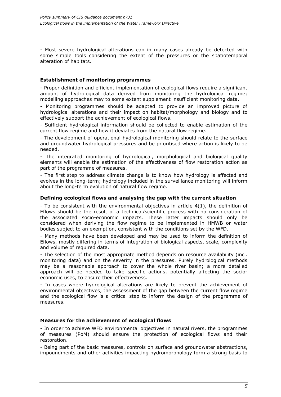- Most severe hydrological alterations can in many cases already be detected with some simple tools considering the extent of the pressures or the spatiotemporal alteration of habitats.

#### **Establishment of monitoring programmes**

- Proper definition and efficient implementation of ecological flows require a significant amount of hydrological data derived from monitoring the hydrological regime; modelling approaches may to some extent supplement insufficient monitoring data.

- Monitoring programmes should be adapted to provide an improved picture of hydrological alterations and their impact on habitat/morphology and biology and to effectively support the achievement of ecological flows.

- Sufficient hydrological information should be collected to enable estimation of the current flow regime and how it deviates from the natural flow regime.

- The development of operational hydrological monitoring should relate to the surface and groundwater hydrological pressures and be prioritised where action is likely to be needed.

- The integrated monitoring of hydrological, morphological and biological quality elements will enable the estimation of the effectiveness of flow restoration action as part of the programme of measures.

- The first step to address climate change is to know how hydrology is affected and evolves in the long-term; hydrology included in the surveillance monitoring will inform about the long-term evolution of natural flow regime.

#### **Defining ecological flows and analysing the gap with the current situation**

- To be consistent with the environmental objectives in article 4(1), the definition of Eflows should be the result of a technical/scientific process with no consideration of the associated socio-economic impacts. These latter impacts should only be considered when deriving the flow regime to be implemented in HMWB or water bodies subject to an exemption, consistent with the conditions set by the WFD.

- Many methods have been developed and may be used to inform the definition of Eflows, mostly differing in terms of integration of biological aspects, scale, complexity and volume of required data.

- The selection of the most appropriate method depends on resource availability (incl. monitoring data) and on the severity in the pressures. Purely hydrological methods may be a reasonable approach to cover the whole river basin; a more detailed approach will be needed to take specific actions, potentially affecting the socioeconomic uses, to ensure their effectiveness.

- In cases where hydrological alterations are likely to prevent the achievement of environmental objectives, the assessment of the gap between the current flow regime and the ecological flow is a critical step to inform the design of the programme of measures.

#### **Measures for the achievement of ecological flows**

- In order to achieve WFD environmental objectives in natural rivers, the programmes of measures (PoM) should ensure the protection of ecological flows and their restoration.

- Being part of the basic measures, controls on surface and groundwater abstractions, impoundments and other activities impacting hydromorphology form a strong basis to